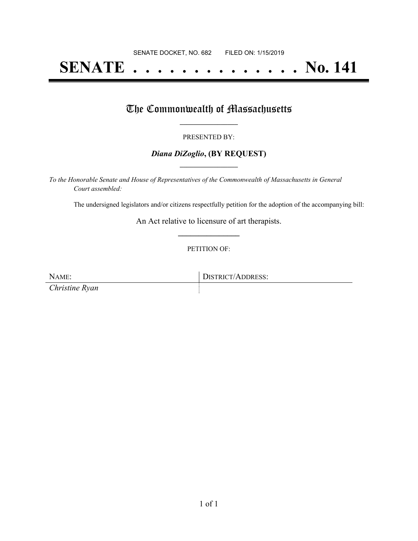# **SENATE . . . . . . . . . . . . . . No. 141**

### The Commonwealth of Massachusetts

#### PRESENTED BY:

#### *Diana DiZoglio***, (BY REQUEST) \_\_\_\_\_\_\_\_\_\_\_\_\_\_\_\_\_**

*To the Honorable Senate and House of Representatives of the Commonwealth of Massachusetts in General Court assembled:*

The undersigned legislators and/or citizens respectfully petition for the adoption of the accompanying bill:

An Act relative to licensure of art therapists. **\_\_\_\_\_\_\_\_\_\_\_\_\_\_\_**

PETITION OF:

*Christine Ryan*

NAME: DISTRICT/ADDRESS: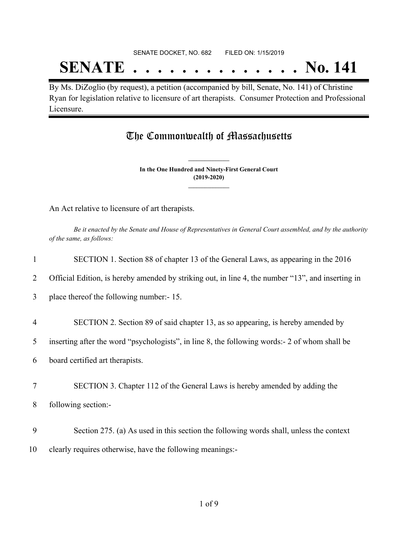## SENATE DOCKET, NO. 682 FILED ON: 1/15/2019 **SENATE . . . . . . . . . . . . . . No. 141**

By Ms. DiZoglio (by request), a petition (accompanied by bill, Senate, No. 141) of Christine Ryan for legislation relative to licensure of art therapists. Consumer Protection and Professional Licensure.

## The Commonwealth of Massachusetts

**In the One Hundred and Ninety-First General Court (2019-2020) \_\_\_\_\_\_\_\_\_\_\_\_\_\_\_**

**\_\_\_\_\_\_\_\_\_\_\_\_\_\_\_**

An Act relative to licensure of art therapists.

Be it enacted by the Senate and House of Representatives in General Court assembled, and by the authority *of the same, as follows:*

| 1              | SECTION 1. Section 88 of chapter 13 of the General Laws, as appearing in the 2016                 |  |  |  |
|----------------|---------------------------------------------------------------------------------------------------|--|--|--|
| 2              | Official Edition, is hereby amended by striking out, in line 4, the number "13", and inserting in |  |  |  |
| 3              | place thereof the following number:-15.                                                           |  |  |  |
| $\overline{4}$ |                                                                                                   |  |  |  |
|                | SECTION 2. Section 89 of said chapter 13, as so appearing, is hereby amended by                   |  |  |  |
| 5              | inserting after the word "psychologists", in line 8, the following words:- 2 of whom shall be     |  |  |  |
| 6              | board certified art therapists.                                                                   |  |  |  |
| 7              | SECTION 3. Chapter 112 of the General Laws is hereby amended by adding the                        |  |  |  |
| 8              | following section:-                                                                               |  |  |  |
|                |                                                                                                   |  |  |  |
| 9              | Section 275. (a) As used in this section the following words shall, unless the context            |  |  |  |
| 10             | clearly requires otherwise, have the following meanings:-                                         |  |  |  |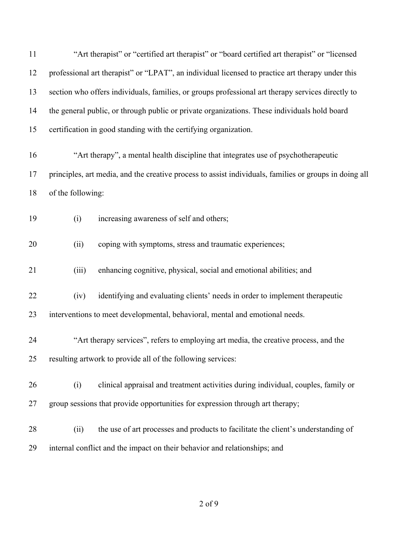| 11 | "Art therapist" or "certified art therapist" or "board certified art therapist" or "licensed           |  |  |  |  |
|----|--------------------------------------------------------------------------------------------------------|--|--|--|--|
| 12 | professional art therapist" or "LPAT", an individual licensed to practice art therapy under this       |  |  |  |  |
| 13 | section who offers individuals, families, or groups professional art therapy services directly to      |  |  |  |  |
| 14 | the general public, or through public or private organizations. These individuals hold board           |  |  |  |  |
| 15 | certification in good standing with the certifying organization.                                       |  |  |  |  |
| 16 | "Art therapy", a mental health discipline that integrates use of psychotherapeutic                     |  |  |  |  |
| 17 | principles, art media, and the creative process to assist individuals, families or groups in doing all |  |  |  |  |
| 18 | of the following:                                                                                      |  |  |  |  |
| 19 | increasing awareness of self and others;<br>(i)                                                        |  |  |  |  |
| 20 | coping with symptoms, stress and traumatic experiences;<br>(ii)                                        |  |  |  |  |
| 21 | (iii)<br>enhancing cognitive, physical, social and emotional abilities; and                            |  |  |  |  |
| 22 | identifying and evaluating clients' needs in order to implement therapeutic<br>(iv)                    |  |  |  |  |
| 23 | interventions to meet developmental, behavioral, mental and emotional needs.                           |  |  |  |  |
| 24 | "Art therapy services", refers to employing art media, the creative process, and the                   |  |  |  |  |
| 25 | resulting artwork to provide all of the following services:                                            |  |  |  |  |
| 26 | (i)<br>clinical appraisal and treatment activities during individual, couples, family or               |  |  |  |  |
| 27 | group sessions that provide opportunities for expression through art therapy;                          |  |  |  |  |
| 28 | the use of art processes and products to facilitate the client's understanding of<br>(ii)              |  |  |  |  |
| 29 | internal conflict and the impact on their behavior and relationships; and                              |  |  |  |  |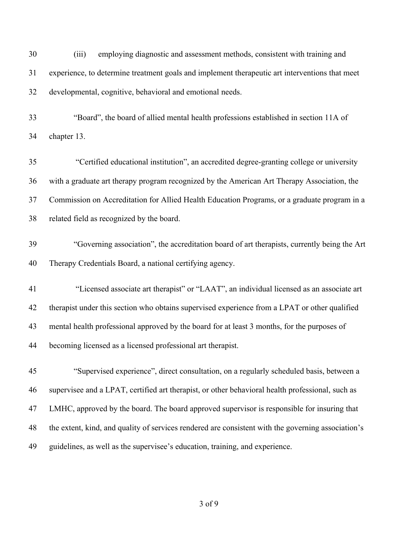| 30 | (iii)<br>employing diagnostic and assessment methods, consistent with training and                 |  |  |  |
|----|----------------------------------------------------------------------------------------------------|--|--|--|
| 31 | experience, to determine treatment goals and implement therapeutic art interventions that meet     |  |  |  |
| 32 | developmental, cognitive, behavioral and emotional needs.                                          |  |  |  |
| 33 | "Board", the board of allied mental health professions established in section 11A of               |  |  |  |
| 34 | chapter 13.                                                                                        |  |  |  |
| 35 | "Certified educational institution", an accredited degree-granting college or university           |  |  |  |
| 36 | with a graduate art therapy program recognized by the American Art Therapy Association, the        |  |  |  |
| 37 | Commission on Accreditation for Allied Health Education Programs, or a graduate program in a       |  |  |  |
| 38 | related field as recognized by the board.                                                          |  |  |  |
| 39 | "Governing association", the accreditation board of art therapists, currently being the Art        |  |  |  |
| 40 | Therapy Credentials Board, a national certifying agency.                                           |  |  |  |
| 41 | "Licensed associate art therapist" or "LAAT", an individual licensed as an associate art           |  |  |  |
| 42 | therapist under this section who obtains supervised experience from a LPAT or other qualified      |  |  |  |
| 43 | mental health professional approved by the board for at least 3 months, for the purposes of        |  |  |  |
| 44 | becoming licensed as a licensed professional art therapist.                                        |  |  |  |
| 45 | "Supervised experience", direct consultation, on a regularly scheduled basis, between a            |  |  |  |
| 46 | supervisee and a LPAT, certified art therapist, or other behavioral health professional, such as   |  |  |  |
| 47 | LMHC, approved by the board. The board approved supervisor is responsible for insuring that        |  |  |  |
| 48 | the extent, kind, and quality of services rendered are consistent with the governing association's |  |  |  |
| 49 | guidelines, as well as the supervisee's education, training, and experience.                       |  |  |  |
|    |                                                                                                    |  |  |  |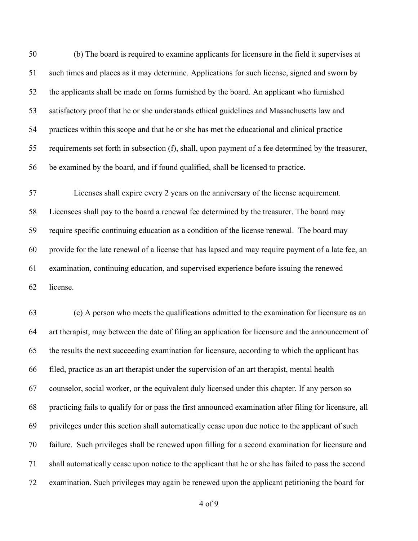(b) The board is required to examine applicants for licensure in the field it supervises at such times and places as it may determine. Applications for such license, signed and sworn by the applicants shall be made on forms furnished by the board. An applicant who furnished satisfactory proof that he or she understands ethical guidelines and Massachusetts law and practices within this scope and that he or she has met the educational and clinical practice requirements set forth in subsection (f), shall, upon payment of a fee determined by the treasurer, be examined by the board, and if found qualified, shall be licensed to practice.

 Licenses shall expire every 2 years on the anniversary of the license acquirement. Licensees shall pay to the board a renewal fee determined by the treasurer. The board may require specific continuing education as a condition of the license renewal. The board may provide for the late renewal of a license that has lapsed and may require payment of a late fee, an examination, continuing education, and supervised experience before issuing the renewed license.

 (c) A person who meets the qualifications admitted to the examination for licensure as an art therapist, may between the date of filing an application for licensure and the announcement of the results the next succeeding examination for licensure, according to which the applicant has filed, practice as an art therapist under the supervision of an art therapist, mental health counselor, social worker, or the equivalent duly licensed under this chapter. If any person so practicing fails to qualify for or pass the first announced examination after filing for licensure, all privileges under this section shall automatically cease upon due notice to the applicant of such failure. Such privileges shall be renewed upon filling for a second examination for licensure and shall automatically cease upon notice to the applicant that he or she has failed to pass the second examination. Such privileges may again be renewed upon the applicant petitioning the board for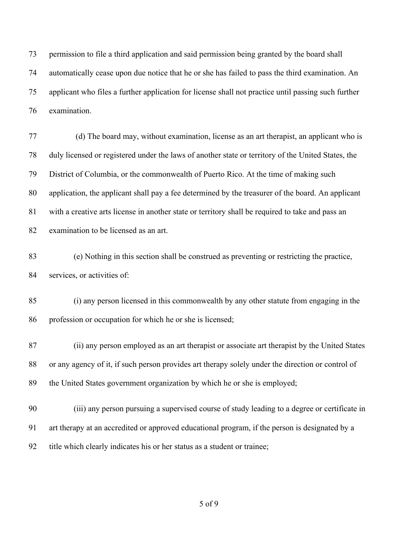permission to file a third application and said permission being granted by the board shall automatically cease upon due notice that he or she has failed to pass the third examination. An applicant who files a further application for license shall not practice until passing such further examination.

 (d) The board may, without examination, license as an art therapist, an applicant who is duly licensed or registered under the laws of another state or territory of the United States, the District of Columbia, or the commonwealth of Puerto Rico. At the time of making such application, the applicant shall pay a fee determined by the treasurer of the board. An applicant with a creative arts license in another state or territory shall be required to take and pass an examination to be licensed as an art.

 (e) Nothing in this section shall be construed as preventing or restricting the practice, 84 services, or activities of:

 (i) any person licensed in this commonwealth by any other statute from engaging in the profession or occupation for which he or she is licensed;

 (ii) any person employed as an art therapist or associate art therapist by the United States or any agency of it, if such person provides art therapy solely under the direction or control of the United States government organization by which he or she is employed;

 (iii) any person pursuing a supervised course of study leading to a degree or certificate in art therapy at an accredited or approved educational program, if the person is designated by a title which clearly indicates his or her status as a student or trainee;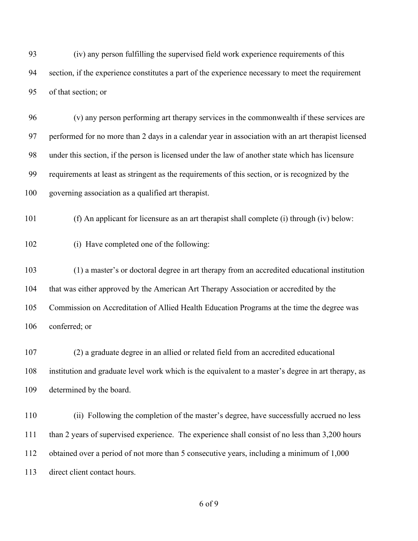(iv) any person fulfilling the supervised field work experience requirements of this section, if the experience constitutes a part of the experience necessary to meet the requirement of that section; or

 (v) any person performing art therapy services in the commonwealth if these services are performed for no more than 2 days in a calendar year in association with an art therapist licensed under this section, if the person is licensed under the law of another state which has licensure requirements at least as stringent as the requirements of this section, or is recognized by the governing association as a qualified art therapist.

(f) An applicant for licensure as an art therapist shall complete (i) through (iv) below:

(i) Have completed one of the following:

 (1) a master's or doctoral degree in art therapy from an accredited educational institution that was either approved by the American Art Therapy Association or accredited by the Commission on Accreditation of Allied Health Education Programs at the time the degree was conferred; or

 (2) a graduate degree in an allied or related field from an accredited educational institution and graduate level work which is the equivalent to a master's degree in art therapy, as determined by the board.

 (ii) Following the completion of the master's degree, have successfully accrued no less than 2 years of supervised experience. The experience shall consist of no less than 3,200 hours obtained over a period of not more than 5 consecutive years, including a minimum of 1,000 direct client contact hours.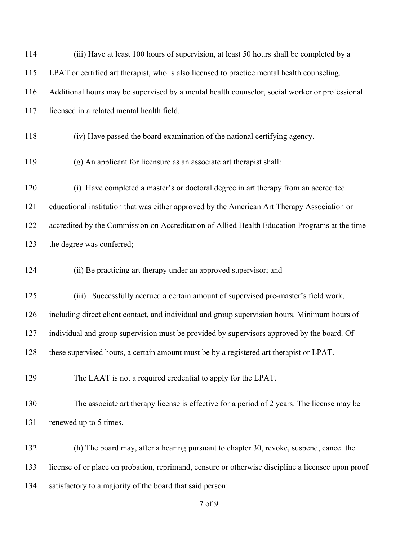| 114 | (iii) Have at least 100 hours of supervision, at least 50 hours shall be completed by a            |  |  |  |
|-----|----------------------------------------------------------------------------------------------------|--|--|--|
| 115 | LPAT or certified art therapist, who is also licensed to practice mental health counseling.        |  |  |  |
| 116 | Additional hours may be supervised by a mental health counselor, social worker or professional     |  |  |  |
| 117 | licensed in a related mental health field.                                                         |  |  |  |
| 118 | (iv) Have passed the board examination of the national certifying agency.                          |  |  |  |
| 119 | (g) An applicant for licensure as an associate art therapist shall:                                |  |  |  |
| 120 | (i) Have completed a master's or doctoral degree in art therapy from an accredited                 |  |  |  |
| 121 | educational institution that was either approved by the American Art Therapy Association or        |  |  |  |
| 122 | accredited by the Commission on Accreditation of Allied Health Education Programs at the time      |  |  |  |
| 123 | the degree was conferred;                                                                          |  |  |  |
| 124 | (ii) Be practicing art therapy under an approved supervisor; and                                   |  |  |  |
| 125 | (iii) Successfully accrued a certain amount of supervised pre-master's field work,                 |  |  |  |
| 126 | including direct client contact, and individual and group supervision hours. Minimum hours of      |  |  |  |
| 127 | individual and group supervision must be provided by supervisors approved by the board. Of         |  |  |  |
| 128 | these supervised hours, a certain amount must be by a registered art therapist or LPAT.            |  |  |  |
| 129 | The LAAT is not a required credential to apply for the LPAT.                                       |  |  |  |
| 130 | The associate art therapy license is effective for a period of 2 years. The license may be         |  |  |  |
| 131 | renewed up to 5 times.                                                                             |  |  |  |
| 132 | (h) The board may, after a hearing pursuant to chapter 30, revoke, suspend, cancel the             |  |  |  |
| 133 | license of or place on probation, reprimand, censure or otherwise discipline a licensee upon proof |  |  |  |
| 134 | satisfactory to a majority of the board that said person:                                          |  |  |  |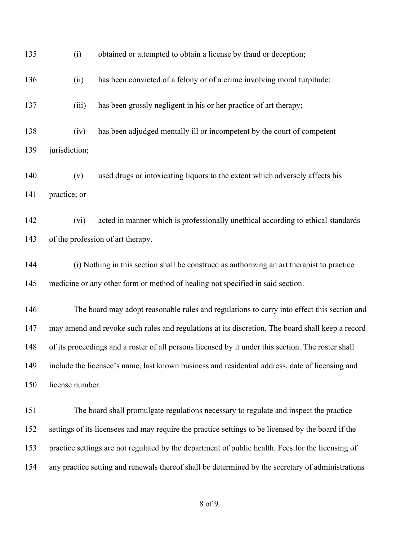| 135 | (i)                                                                                                | obtained or attempted to obtain a license by fraud or deception;                           |  |  |
|-----|----------------------------------------------------------------------------------------------------|--------------------------------------------------------------------------------------------|--|--|
| 136 | (ii)                                                                                               | has been convicted of a felony or of a crime involving moral turpitude;                    |  |  |
| 137 | (iii)                                                                                              | has been grossly negligent in his or her practice of art therapy;                          |  |  |
| 138 | (iv)                                                                                               | has been adjudged mentally ill or incompetent by the court of competent                    |  |  |
| 139 | jurisdiction;                                                                                      |                                                                                            |  |  |
| 140 | (v)                                                                                                | used drugs or intoxicating liquors to the extent which adversely affects his               |  |  |
| 141 | practice; or                                                                                       |                                                                                            |  |  |
| 142 | (vi)                                                                                               | acted in manner which is professionally unethical according to ethical standards           |  |  |
| 143 | of the profession of art therapy.                                                                  |                                                                                            |  |  |
| 144 |                                                                                                    | (i) Nothing in this section shall be construed as authorizing an art therapist to practice |  |  |
| 145 | medicine or any other form or method of healing not specified in said section.                     |                                                                                            |  |  |
| 146 |                                                                                                    | The board may adopt reasonable rules and regulations to carry into effect this section and |  |  |
| 147 | may amend and revoke such rules and regulations at its discretion. The board shall keep a record   |                                                                                            |  |  |
| 148 | of its proceedings and a roster of all persons licensed by it under this section. The roster shall |                                                                                            |  |  |
| 149 | include the licensee's name, last known business and residential address, date of licensing and    |                                                                                            |  |  |
| 150 | license number.                                                                                    |                                                                                            |  |  |
| 151 |                                                                                                    | The board shall promulgate regulations necessary to regulate and inspect the practice      |  |  |
| 152 | settings of its licensees and may require the practice settings to be licensed by the board if the |                                                                                            |  |  |
| 153 | practice settings are not regulated by the department of public health. Fees for the licensing of  |                                                                                            |  |  |
| 154 | any practice setting and renewals thereof shall be determined by the secretary of administrations  |                                                                                            |  |  |
|     |                                                                                                    |                                                                                            |  |  |